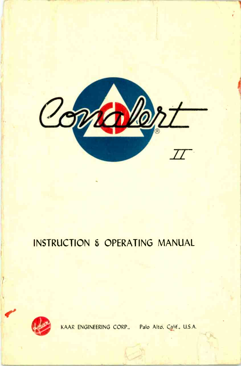

# **INSTRUCTION & OPERATING MANUAL**



KAAR ENGINEERING CORP., Palo Alto, Calif., U.S.A.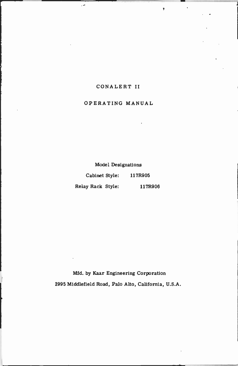# CONALERT II

¥

 $\ddot{\phantom{a}}$ 

مد .

# OPERATING MANUAL

Model Designations

Cabinet Style: 117R905

Relay Rack Style: 117R906

Mfd. by Kaar Engineering Corporation

2995 Middlefield Road, Palo Alto, California, U.S.A.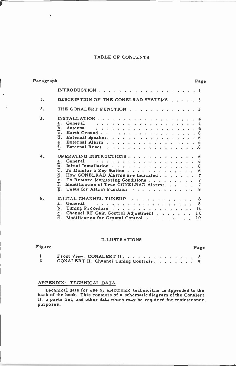# TABLE OF CONTENTS

| Paragraph    |                                                                                                                                                                                                                                                                                                                                                                                    | Page                                  |
|--------------|------------------------------------------------------------------------------------------------------------------------------------------------------------------------------------------------------------------------------------------------------------------------------------------------------------------------------------------------------------------------------------|---------------------------------------|
|              | INTRODUCTION $\ldots$ , 1                                                                                                                                                                                                                                                                                                                                                          |                                       |
| 1.           | DESCRIPTION OF THE CONELRAD SYSTEMS 3                                                                                                                                                                                                                                                                                                                                              |                                       |
| $\mathbf{z}$ | THE CONALERT FUNCTION 3                                                                                                                                                                                                                                                                                                                                                            |                                       |
| 3.           | <b>INSTALLATION</b><br>the contract of the contract of the contract of the contract of the contract of the contract of the contract of the contract of the contract of the contract of the contract of the contract of the contract of the contract o<br>General<br>a <sub>x</sub><br>5. Antenna<br>. 4<br>d. External Speaker. 6<br>e. External Alarm 6<br>Τ.<br>External Reset 6 |                                       |
| 4.           | OPERATING INSTRUCTIONS<br>General<br>a <sub>1</sub><br>$\overline{c}$ . To Monitor a Key Station<br>d. How CONELRAD Alarms are Indicated<br>$\overline{e}$ . To Restore Monitoring Conditions<br>f. Identification of True CONELRAD Alarms<br>$\overline{g}$ . Tests for Alarm Function $\cdots$                                                                                   | 6<br>6<br>6<br>6<br>-7<br>7<br>7<br>8 |
| 5.           | INITIAL CHANNEL TUNEUP<br>the contract of the contract of the contract of the contract of the contract of the contract of the contract of<br>General<br>a <sub>x</sub><br>b. Tuning Procedure 10<br>c. Channel RF Gain Control Adjustment 10<br>d. Modification for Crystal Control                                                                                                | 8<br>8<br>10                          |

#### ILLUSTRATIONS

| Figure   |                                                                       |  |  |  | Page |
|----------|-----------------------------------------------------------------------|--|--|--|------|
| <b>2</b> | Front View, CONALERT II. 2<br>CONALERT II, Channel Tuning Controls. 9 |  |  |  |      |

# APPENDIX: TECHNICAL DATA

Technical data for use by electronic technicians is appended to the back of the book. This consists of a schematic diagram of the Conalert II, a parts list, and other data which may be required for maintenance. purposes.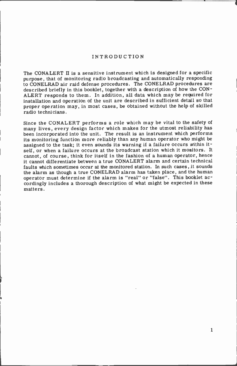# INTRODUCTION

The CONALERT II is a sensitive instrument which is designed for a specific purpose, that of monitoring radio broadcasting and automatically responding described briefly in this booklet, together with a description of how the CON-ALERT responds to them. In addition, all data which may be required for installation and operation of the unit are described in sufficient detai proper operation may, in most cases, be obtained without the help of skilled radio technicians.

Since the CONALERT performs a role which may be vital to the safety of many lives, every design factor which makes for the utmost reliability has been incorporated into the unit. The result is an instrument which performs assigned to the task; it even sounds its warning if a failure occurs within it-<br>self, or when a failure occurs at the broadcast station which it monitors. It cannot, of course, think for itself in the fashion of a human operator, hence it cannot differentiate between a true CONALERT alarm and certain technical faults which sometimes occur at the monitored station. In such cases, it sounds<br>the alarm as though a true CONELRAD alarm has taken place, and the human operator must determine if the alarm is "real" or "false". This booklet ac-<br>cordingly includes a thorough description of what might be expected in these matters.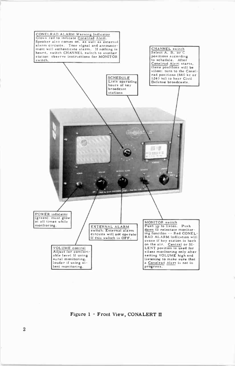

Figure 1 - Front View, CONALERT II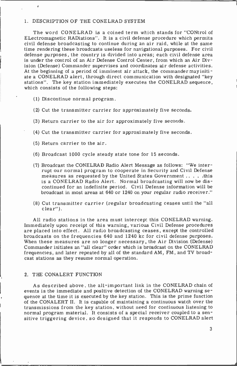## 1. DESCRIPTION OF THE CONELRAD SYSTEM

 $\epsilon$ 

The word CONELRAD is a coined term which stands for "CONtrol of ELectromagnetic RADiations". It is a civil defense procedure which permits civil defense broadcasting to continue during an air raid. while at the same time rendering these broadcasts useless for navigational purposes. For civil defense purposes, the country is divided into areas; each civil defense area is under the control of an Air Defense Control Center, from which an Air Division (Defense) Commander supervises and coordinates air defense activities. At the beginning of a period of imminent air attack, the commander may initiate a CONELRAD alert, through direct communication with designated "key stations". The key station immediately executes the CONELRAD sequence, which consists of the following steps:

- (1) Discontinue normal program.
- (2) Cut the transmitter carrier for approximately five seconds.
- (3) Return carrier to the air for approximately five seconds.
- (4) Cut the transmitter carrier for approximately five seconds.
- (5) Return carrier to the air.
- (6) Broadcast 1000 cycle steady state tone for 15 seconds.
- (7) Broadcast the CONELRAD Radio Alert Message as follows: "We inter- rupt our normal program to cooperate in Security and Civil Defense measures as requested by the United States Government .. . . .this is a CONELRAD Radio Alert. Normal broadcasting will now be discontinued for an indefinite period. Civil Defense information will be broadcast in most areas at 640 or 1240 on your regular radio receiver."
- (8) Cut transmitter carrier (regular broadcasting ceases until the "all clear").

All radio stations in the area must intercept this CONELRAD warning.<br>Immediately upon receipt of this warning, various Civil Defense procedures<br>are placed into effect. All radio broadcasting ceases, except the controlled<br>b When these measures are no longer necessary, the Air Division (Defense) Commander initiates an "all clear" order which is broadcast on the CONELRAD frequencies, and later repeated by all of the standard AM, FM, and TV broadcast stations as they resume normal operation.

## 2. THE CONALERT FUNCTION

As described above, the all-important link in the CONELRAD chain of events is the immediate and positive detection of the CONELRAD warning sequence at the time it is executed by the key station. This is the prime function of the CONALERT II. It is capable of maintaining a continuous watch over the transmissions from the key station, without need for continuous listening to normal program material. It consists of a special receiver coupled to a sensitive triggering device, so designed that it responds to CONELRAD alert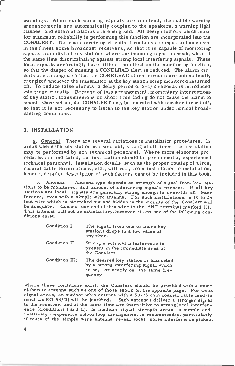warnings. When such warning signals are received, the audible warning<br>announcements are automatically coupled to the speakers, a warning light flashes, and external alarms are energized. All design factors which make for maximum reliability in performing this function are incorporated into the CONALERT. The radio receiving circuits it contains are equal to those used in the finest home broadcast receivers, so that it is capable of monitoring signals from distant key stations where the incoming signal is weak, while at the same time discriminating against strong local interfering signals. These local signals accordingly have little or no effect on the monitorin so that the danger of missing a CONELRAD alert is reduced. The alarm cir-<br>cuits are arranged so that the CONELRAD alarm circuits are automatically energized whenever the transmitter at the key station being monitored is turned off. To reduce false alarms, a delay period of 2-1/2 seconds is introduced into these circuits. Because of this arrangement, momentary interruptions of key station transmissions or short time fading do not cause the alarm to sound. Once set up, the CONALERT may be operated with speaker turned off, so that it is not necessary to listen to the key station under normal broad-casting conditions.

#### 3. INSTALLATION

a. General. There are several variations in installation procedures. In areas where the key station is reasonably strong at all times, the installation<br>may be performed by non-technical personnel. Where more elaborate pro-<br>cedures are indicated, the installation should be performed by experien technical personnel. Installation details, such as the proper routing of wires, coaxial cable terminations, etc., will vary from installation to installation, hence a detailed description of such factors cannot be included

b. Antenna. Antenna type depends on strength of signal from key stations to be monitored, and amount of interfering signals present. If all key stations are local, signals are generally strong enough to override all inter- ference, even with a simple wire antenna. For such installations, a 10 to Z5 foot wire which is stretched out and hidden in the vicin:ty of the Conalert will be adequate. Connect one end of this wire to the ANT terminal marked HI. This antenna will not be satisfactory, however, if any one of the following con- ditions exist:

| Condition I:   | The signal from one or more key<br>stations drops to a low value at<br>any time.                                              |
|----------------|-------------------------------------------------------------------------------------------------------------------------------|
| Condition II:  | Strong electrical interference is<br>present in the immediate area of<br>the Conalert.                                        |
| Condition III: | The desired key station is blanketed<br>by a strong interfering signal which<br>is on, or nearly on, the same fre-<br>quency. |

Where these conditions exist, the Conalert should be provided with a more elaborate antenna such as one of those shown on the opposite page. For weak signal areas, an outdoor whip antenna with a 50-75 ohm coaxial cable lead-in (such as RG-58/U) will be justified. Such antennas deliver a stronger signal to the receiver, and at the same time are insensitive to strong local interfer-<br>ence (Conditions I and II). In medium signal strength areas, a simple and relatively inexpensive indoor loop arrangement is recommended, particularly if tests of the simple wire antenna reveal local noise interference pickup.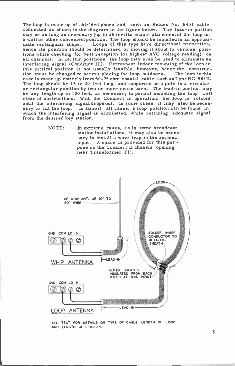The loop is made up of shielded phonolead, such as Belden No. 8431 cable, connected as shown in the diagram in the figure below. The lead-in portion may be as long as necessary (up to 25 feet) to enable placement of the lo mate rectangular shape. Loops of this type have directional properties,<br>hence its position should be determined by moving it about to various posi-<br>tions while checking for best reception (or highest AVC voltage reading) o tions while checking for best reception (or highest AVC voltage reading) on all channels. In certain positions, the loop may even be used to eliminate an interfering signal (Condition III). Permanent indoor mounting of the loop in this critical position is not usually feasible, however, hence the construc-<br>tion must be changed to permit placing the loop outdoors. The loop in this case is made up entirely from 50-75 ohm coaxial cable such as Type RG-58/U.<br>The loop should be 15 to 20 feet long, and supported on a pole in a circular<br>or rectangular position by two or more cross bars. The lead-in portio clear of obstructions. With the Conalert in operation, the loop is rotated sary to tilt the loop. In almost all cases, a loop position can be found in which the interfering signal is eliminated, while retaining adequate signal from the desired key station.

> NOTE: In extreme cases, as in some broadcast station installations, it may also be necessary to install a wave trap in the antenna<br>input., A space is provided for this purpose on the Conalert II chassis (opening near Transformer T1).



SEE TEXT FOR DETAILS ON TYPE OF CABLE. LENGTH OF LOOP. AND LENGTH OF LEAD-IN.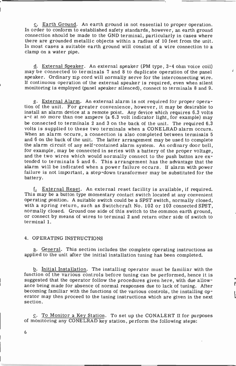c. Earth Ground. An earth ground is not essential to proper operation. In order to conform to established safety standards, however, an earth ground connection should be made to the GND terminal, particularly in cases where there are grounded metallic objects within a radius of 10 feet from the unit. In most cases a suitable earth ground will consist of a wire connection to a clamp on a water pipe.

 $\underline{d}$ . External Speaker. An external speaker (PM type, 3-4 ohm voice coil)<br>may be connected to terminals 7 and 8 to duplicate operation of the panel<br>speaker. Ordinary zip cord will normally serve for the interconnectin monitoring is employed (panel speaker silenced), connect to terminals 8 and 9.

g. External Alarm. An external alarm is not required for proper operation of the unit. For greater convenience, however, it may be desirable to install an alarm device at a remote point. Any device which requires 6.3 volts  $a$ -c at no more than one ampere (a 6.3 volt indicator light, for example) may be connected to terminals 2 and 3 on the back of the unit. The required 6.3 volts is supplied to these two terminals when a CONELRAD alarm occurs. When an alarm occurs, a connection is also completed between terminals 5 and 6 on the back of the unit. The latter arrangement may be used to complete the alarm circuit of any self-contained alarm system. An ordinary door bell, for example, may be connected in series with a battery of the proper voltage, and the two wires which would normally connect to the push button are extended to terminals 5 and 6. This arrangement has the advantage that the alarm will be indicated when a power failure occurs. If alarm with power failure is not important, a step-down transformer may be substituted for the battery.

<u>f.</u> External Reset. An external reset facility is available, if required. This may be a button type momentary contact switch located at any convenient operating position. A suitable switch could be a SPST switch, normall with a spring return, such as Switchcraft No. 102 or 103 connected SPST, normally closed. Ground one side of this switch to the common earth ground, or connect by means of wires to terminal 2 and return other side of switch to terminal 1.

## 4. OPERATING INSTRUCTIONS

a. General. This section includes the complete operating instructions as applied to the unit after the initial installation tuning has been completed.

b. Initial Installation. The installing operator must be familiar with the function of the various controls before tuning can be performed, hence it is suggested that the operator follow the procedures given here, with due allowance being made for absence of normal responses due to lack of tuning. After becoming familiar with the functions of the various controls, the installing op- erator may then proceed to the tuning instructions which are given in the next section.

ť

c. To Monitor a Key Station. To set up the CONALERT II for purposes of monitoring any CONELRAD key station, perform the following steps: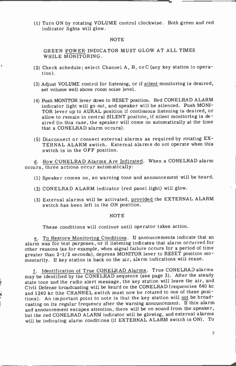(1) Turn ON by rotating VOLUME control clockwise. Both green and red indicator lights will glow.

#### **NOTE**

GREEN POWER INDICATOR MUST GLOW AT ALL TIMES WHILE MONITORING.

- (2) Check schedule; select Channel A, B. or C (any key station in operation).
- (3) Adjust VOLUME control for listening, or if silent monitoring :s desired, set volume well above room noise level.
- (4) Push MONITOR lever down to RESET position. Red CONELRAD ALARM indicator light will go out, and speaker will be silenced. Push MONI-TOR lever up to AURAL position if continuous listening is desired, or allow to remain in central SILENT position, if silent monitoring is desired (in this case, the speaker will come on automatically at the time that a CONELRAD alarm occurs).
- (5) Disconnect or connect external alarms as required by rotating EX- TERNAL ALARM switch. External alarms do not operate when this switch is in the OFF position.

d. How CONELRAD Alarms Are Indicated. When a CONELRAD alarm occurs, three actions occur automatically:

- (1) Speaker comes on, so warning tone and announcement will be heard.
- (2) CONELRAD ALARM indicator (red panel light) will glow.
- (3) External alarms will be activated, provided the EXTERNAL ALARM switch has been left in the ON position.

#### **NOTE**

These conditions will continue until operator takes action.

e. To Restore Monitoring Conditions. If announcements indicate that an alarm was for test purposes, or if listening indicates that alarm occurred for other reasons (as for example, when signal failure occurs for a period of time greater than 2-1/2 seconds), depress MONITOR lever to RESET position momentarily. If key station is back on the air, alarm indications will cease.

f. Identification of True CONELRAD Alarms. True CONELRAD alarms may be identified by the CONELRAD sequence (see page 3). After the steady state tone and the radio alert message, the key station will leave the air, and<br>Civil Defense broadcasting will be heard on the CONELRAD frequencies 640 kc and 1240 kc (the CHANNEL switch must now be rotated to one of these positions). An important point to note is that the key station will not be broadcasting on its regular frequency after the warning announcement. If this alarm and announcement escapes attention, there will be no sound from the speaker, but the red CONELRAD ALARM indicator will be glowing, and external alarms will be indicating alarm conditions (if EXTERNAL ALARM switch is ON). To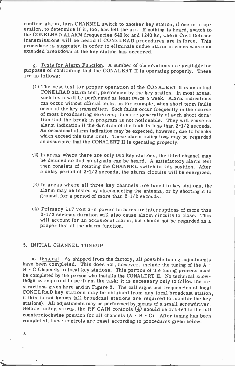confirm alarm, turn CHANNEL switch to another key station, if one is in op- eration, to determine if it, too, has left the air. If nothing is heard, switch to the CONELRAD ALARM frequencies 640 kc and 1240 kc, where Civil Defense<br>transmissions will be heard if CONELRAD procedures are in force. This procedure is suggested in order to eliminate undue alarm in cases where an extended breakdown at the key station has occurred.

g. Tests for Alarm Function. A number of observations are available for purposes of confirming that the CONALERT II is operating properly. These are as follows:

- (1) The best test for proper operation of the CONALERT  $\text{II}$  is an actual CONELRAD alarm test, performed by the key station. In most areas, such tests will be performed at least twice a week. Alarm indications can occur without official tests, as for example, when short term faults occur at the key transmitter. Such faults occur frequently in the course of most broadcasting services; they are generally of such short duration that the break in program is not noticeable. They will cause no alarm indication if the duration of the fault is less than 2-1/2 seconds. An occasional alarm indication may be expected, however, due to breaks which exceed this time limit. These alarm indications may be regarded as assurance that the CONALERT II is operating properly.
- (2) In areas where there are only two key stations, the third channel may be detuned so that no signals can be heard. A satisfactory alarm test<br>then consists of rotating the CHANNEL switch to this position. After a delay period of 2-1/2 seconds, the alarm circuits will be energized.
- (3) In areas where all three key channels are tuned to key stations, the alarm may be tested by disconnecting the antenna, or by shorting it to ground, for a period of more than 2-1/2 seconds.
- (4) Primary 117 volt a -c power failures or interruptions of more than 2-1/2 seconds duration will also cause alarm circuits to close. This will account for an occasional alarm, but should not be regarded as a proper test of the alarm function.

## 5. INITIAL CHANNEL TUNEUP

a. General. As shipped from the factory, all possible tuning adjustments have been completed. This does not, however, include the tuning of the  $A - B - C$  Channels to local key stations. This portion of the tuning process mu be completed by the person who installs the CONALERT II. No technical knowledge is required to perform the task; it is necessary only to follow the in-<br>structions given here and in Figure 2. The call signs and frequencies of local CONELRAD key stations may be obtained from any local broadcast station, if this is not known (all broadcast stations are required to monitor the key stations). All adjustments may be performed by means of a small screwdriver. Before tuning starts, the RF GAIN controls  $\overline{4}$  should be rotated to the full counterclockwise position for all channels  $(A - B - C)$ . After tuning has been completed, these controls are reset according to procedures given below.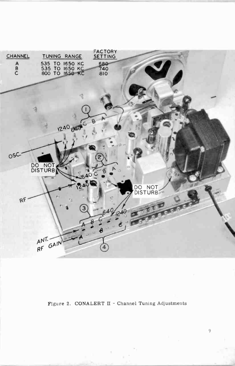

## Figure 2. CONALERT II - Channel Tuning Adjustments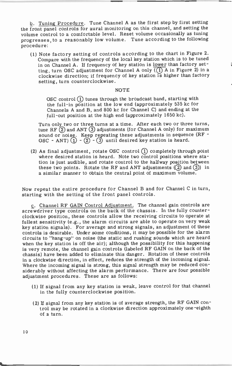b. Tuning Procedure. Tune Channel A as the first step by first setting the front panel controls for aural monitoring on this channel, and setting the volume control to a comfortable level. Reset volume occasionally as tuning progresses to a reasonably low volume. Tune according to the following procedure:

(1) Note factory setting of controls according to the chart in Figure 2. Compare with the frequency of the local key station which is to be tuned in on Channel A. If frequency of key station is lower than factory setting, turn OSC adjustment for Channel A only  $\overline{(\text{1})}$  A in Figure 2) in a clockwise direction; if frequency of key station is higher than factory setting, turn counterclockwise.

## **NOTE**

OSC control  $\Omega$  tunes through the broadcast band, starting with the full-in position at the low end (approximately 535 kc for Channels A and B, and 800 kc for Channel C) and ending at the full-out position at the high end (approximately 1650 kc).

Turn only two or three turns at a time. After each two or three turns, tune RF  $(2)$  and ANT  $(3)$  adjustments (for Channel A only) for maximum sound or noise. Keep repeating these adjustments in sequence (RF -OSC - ANT)  $(1)$  -  $(2)$  -  $(3)$  until desired key station is heard.

(2) As final adjustment, rotate OSC control  $\overline{1}$  completely through point where desired station is heard. Note two control positions where station is just audible, and rotate control to the halfway position between these two points. Rotate the RF and ANT adjustments  $(2)$  and  $(3)$  in a similar manner to obtain the central point of maximum volume.

Now repeat the entire procedure for Channel B and for Channel C in turn, starting with the setting of the front panel controls.

c. Channel RF GAIN Control Adjustment. The channel gain controls are screwdriver type controls on the back of the chassis. In the fully counterclockwise position, these controls allow the receiving circuits to operate at fullest sensitivity (e.g., the alarm circuits are able to operate on very weak key station signals). For average and strong signals, an adjustment of these controls is desirable. Under some conditions, it may be possible for the alarm circuits to "hang-up" on noise (the static and rushing sounds which are heard when the key station is off the air); although the possibility for this happening is very remote, the channel gain controls (labeled RF GAIN on the back of the chassis) have been added to eliminate this danger. Rotation of these controls in a clockwise direction, in effect, reduces the strength of the incoming signal.<br>Where the incoming signal is strong, this signal strength may be reduced considerably without affecting the alarm performance. There are four possible adjustment procedures. These are as follows:

- (1) If signal from any key station is weak, leave control for that channel in the fully counterclockwise position.
- (2) If signal from any key station is of average strength, the RF GAIN control may be rotated in a clockwise direction approximately one -eighth of a turn.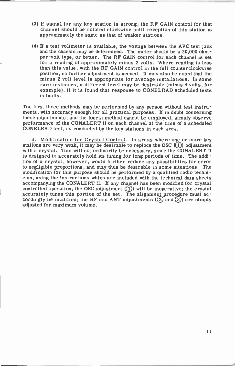- (3) If signal for any key station is strong, the RF GAIN control for that channel should be rotated clockwise until reception of this station is approximately the same as that of weaker stations.
- (4) If a test voltmeter is available, the voltage between the AVC test jack and the chassis may be determined. The meter should be a  $20,000$  ohm-<br>per-volt type, or better. The RF GAIN control for each channel is set for a reading of approximately minus 2 volts. Where reading is less than this value, with the RF GAIN control in the full counterclockwise position, no further adjustment is needed. It may also be noted that the minus 2 volt level is appropriate for average installations. In some rare instances, a different level may be desirable (minus 4 volts, for example), if it is found that response to CONELRAD scheduled tests is faulty.

The first three methods may be performed by any person without test instru- ments, with accuracy enough for all practical purposes. If in doubt concerning these adjustments, and the fourth method cannot be employed, simply observe performance of the CONALERT II on each channel at the time of a scheduled CONELRAD test, as conducted by the key stations in each area.

d. Modification for Crystal Control. In areas where one or more key stations are very weak, it may be desirable to replace the OSC  $(\Omega)$  adjustment with a crystal. This will not ordinarily be necessary, since the CONALERT II is designed to accurately hold its tuning for long periods of time. The addition of a crystal, however, would further reduce any possibilities for error<br>to negligible proportions, and may thus be desirable in some situations. The modification for this purpose should be performed by a qualified radio techni-<br>cian, using the instructions which are included with the technical data sheets accompanying the CONALERT II. If any channel has been modified for crystal controlled operation, the OSC adjustment  $(1)$ ) will be inoperative; the crystal accurately tunes this portion of the set. The alignment procedure must accordingly be modified; the RF and ANT adjustments  $(2)$  and  $(3)$ ) are simply adjusted for maximum volume.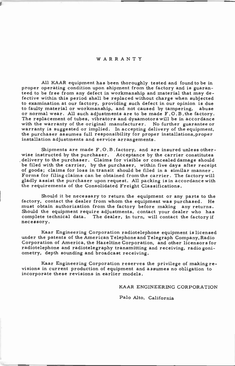### WARRANTY

ø

All KAAR equipment has been thoroughly tested and found to be in proper operating condition upon shipment from the factory and is guaranteed to be free from any defect in workmanship and material that may defective within this period shall be replaced without charge when subjected to examination at our factory, providing such defect in our opinion is due to faulty material or workmanship, and not caused by tampering, abuse<br>or normal wear. All such adjustments are to be made  $F, O, B$ , the factory. The replacement of tubes, vibrators and dynamotors will be in accordance<br>with the warranty of the original manufacturer. No further guarantee or<br>warranty is suggested or implied. In accepting delivery of the equipment,<br>the installation adjustments and service arrangements.

Shipments are made F.O.B.factory, and are insured unless other-<br>wise instructed by the purchaser. Acceptance by the carrier constitutes<br>delivery to the purchaser. Claims for visible or concealed damage should be filed with the carrier, by the purchaser, within five days after receipt of goods; claims for loss in transit should be filed in a similar manner.<br>Forms for filing claims can be obtained from the carrier. The factory wi the requirements of the Consolidated Freight Classifications.

Should it be necessary to return the equipment or any parts to the factory, contact the dealer from whom the equipment was purchased. He must obtain authorization from the factory before making any returns.<br>Should the equipment require adjustments, contact your dealer who has<br>complete technical data. The dealer, in turn, will contact the factory if necessory.

Kaar Engineering Corporation radiotelephone equipment is licensed under the patents of the American Telephone and Telegraph Company, Radio Corporation of America, the Hazeltine Corporation, and other licensors for radiotelephone and radiotelegraphy transmitting and receiving, radio goni- ometry, depth sounding and broadcast receiving.

Kaar Engineering Corporation reserves the privilege of making re- visions in current production of equipment and assumes no obligation to incorporate these revisions in earlier models.

KAAR ENGINEERING CORPORATION

Palo Alto, California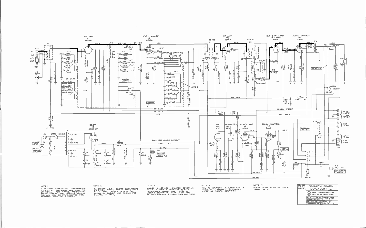

NOT% <sup>I</sup> CAPAC1TOR, TEMPERATURE COMPEMINATINA; 12 - COU<br>12 - CAUAL, FOR CHANAGL EREQUENCIES 147 OPERATI<br>AROVE 1000 KC, THE CAPACITOR ACROSS 447 ON<br>ALGENTLY GREATER STARILITV.<br>SLIGHTLY GREATER STARILITV. NOTG Z

TO COUVGET FOR CRYSTAL CONTROLLED<br>OPERATION, BREAL SWITCH CONNECTIONS - VALUE<br>412 T. AND CONNECT CRYSTAL AS - CAPA<br>5.400.11.BY PASUGP LING (SHOW) FOR - MICK<br>CHANNEL "A ONLY).

LINLESS OTHERWISE INDICATED. RESISTANCE ALL NOTE 3<br>UNLESS OTHERWISE INDICATED, ESSISTANCE ALL DC VOL<br>VALUSS IN CANS USE ONE ONE VALUE - VALURS IN MITH<br>MICRO-MICROSARIOS (CAPACITORS 400 VDCW,<br>IN MICROFARADS (CAPACITORS 400 VDCW,

NOTG 3

 $\sim$ 

NOTE 4<br>ALL PC VOLTAGES MEASURED WITH A HEAVY LINES INDICA<br>VTVM WITH RESPECT TO CHAPSIS, SIGNAL PATH,<br>UNDER NO SIGNAL CONDITION,

HEAVY LINES INPIZATE MAJOR (1-19)<br>SIGNAL PATH,